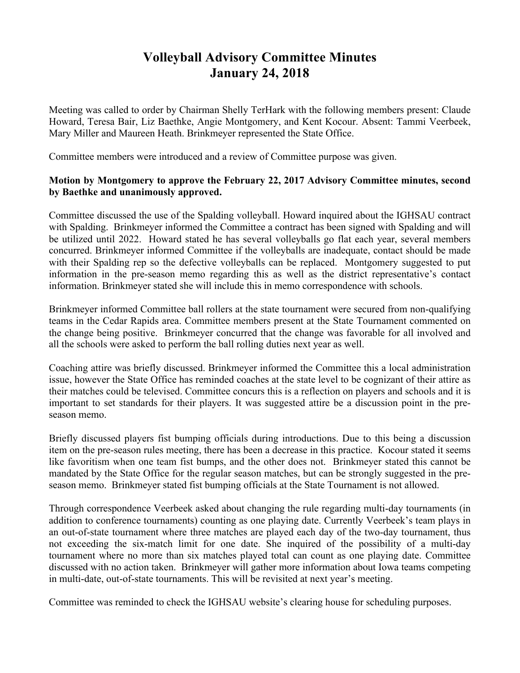## **Volleyball Advisory Committee Minutes January 24, 2018**

Meeting was called to order by Chairman Shelly TerHark with the following members present: Claude Howard, Teresa Bair, Liz Baethke, Angie Montgomery, and Kent Kocour. Absent: Tammi Veerbeek, Mary Miller and Maureen Heath. Brinkmeyer represented the State Office.

Committee members were introduced and a review of Committee purpose was given.

## **Motion by Montgomery to approve the February 22, 2017 Advisory Committee minutes, second by Baethke and unanimously approved.**

Committee discussed the use of the Spalding volleyball. Howard inquired about the IGHSAU contract with Spalding. Brinkmeyer informed the Committee a contract has been signed with Spalding and will be utilized until 2022. Howard stated he has several volleyballs go flat each year, several members concurred. Brinkmeyer informed Committee if the volleyballs are inadequate, contact should be made with their Spalding rep so the defective volleyballs can be replaced. Montgomery suggested to put information in the pre-season memo regarding this as well as the district representative's contact information. Brinkmeyer stated she will include this in memo correspondence with schools.

Brinkmeyer informed Committee ball rollers at the state tournament were secured from non-qualifying teams in the Cedar Rapids area. Committee members present at the State Tournament commented on the change being positive. Brinkmeyer concurred that the change was favorable for all involved and all the schools were asked to perform the ball rolling duties next year as well.

Coaching attire was briefly discussed. Brinkmeyer informed the Committee this a local administration issue, however the State Office has reminded coaches at the state level to be cognizant of their attire as their matches could be televised. Committee concurs this is a reflection on players and schools and it is important to set standards for their players. It was suggested attire be a discussion point in the preseason memo.

Briefly discussed players fist bumping officials during introductions. Due to this being a discussion item on the pre-season rules meeting, there has been a decrease in this practice. Kocour stated it seems like favoritism when one team fist bumps, and the other does not. Brinkmeyer stated this cannot be mandated by the State Office for the regular season matches, but can be strongly suggested in the preseason memo. Brinkmeyer stated fist bumping officials at the State Tournament is not allowed.

Through correspondence Veerbeek asked about changing the rule regarding multi-day tournaments (in addition to conference tournaments) counting as one playing date. Currently Veerbeek's team plays in an out-of-state tournament where three matches are played each day of the two-day tournament, thus not exceeding the six-match limit for one date. She inquired of the possibility of a multi-day tournament where no more than six matches played total can count as one playing date. Committee discussed with no action taken. Brinkmeyer will gather more information about Iowa teams competing in multi-date, out-of-state tournaments. This will be revisited at next year's meeting.

Committee was reminded to check the IGHSAU website's clearing house for scheduling purposes.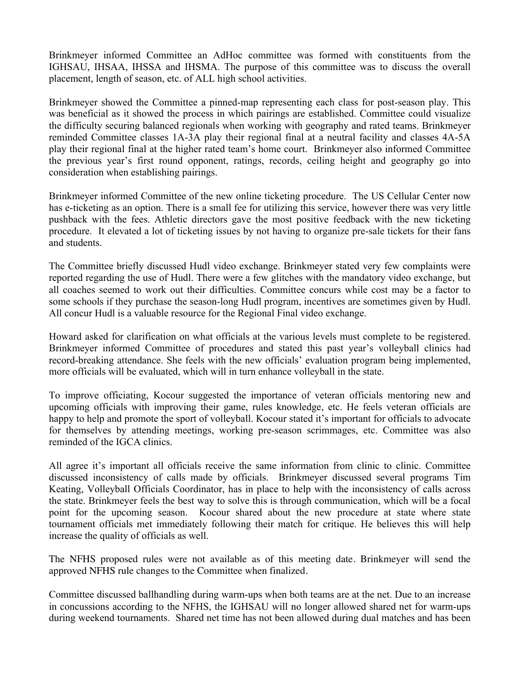Brinkmeyer informed Committee an AdHoc committee was formed with constituents from the IGHSAU, IHSAA, IHSSA and IHSMA. The purpose of this committee was to discuss the overall placement, length of season, etc. of ALL high school activities.

Brinkmeyer showed the Committee a pinned-map representing each class for post-season play. This was beneficial as it showed the process in which pairings are established. Committee could visualize the difficulty securing balanced regionals when working with geography and rated teams. Brinkmeyer reminded Committee classes 1A-3A play their regional final at a neutral facility and classes 4A-5A play their regional final at the higher rated team's home court. Brinkmeyer also informed Committee the previous year's first round opponent, ratings, records, ceiling height and geography go into consideration when establishing pairings.

Brinkmeyer informed Committee of the new online ticketing procedure. The US Cellular Center now has e-ticketing as an option. There is a small fee for utilizing this service, however there was very little pushback with the fees. Athletic directors gave the most positive feedback with the new ticketing procedure. It elevated a lot of ticketing issues by not having to organize pre-sale tickets for their fans and students.

The Committee briefly discussed Hudl video exchange. Brinkmeyer stated very few complaints were reported regarding the use of Hudl. There were a few glitches with the mandatory video exchange, but all coaches seemed to work out their difficulties. Committee concurs while cost may be a factor to some schools if they purchase the season-long Hudl program, incentives are sometimes given by Hudl. All concur Hudl is a valuable resource for the Regional Final video exchange.

Howard asked for clarification on what officials at the various levels must complete to be registered. Brinkmeyer informed Committee of procedures and stated this past year's volleyball clinics had record-breaking attendance. She feels with the new officials' evaluation program being implemented, more officials will be evaluated, which will in turn enhance volleyball in the state.

To improve officiating, Kocour suggested the importance of veteran officials mentoring new and upcoming officials with improving their game, rules knowledge, etc. He feels veteran officials are happy to help and promote the sport of volleyball. Kocour stated it's important for officials to advocate for themselves by attending meetings, working pre-season scrimmages, etc. Committee was also reminded of the IGCA clinics.

All agree it's important all officials receive the same information from clinic to clinic. Committee discussed inconsistency of calls made by officials. Brinkmeyer discussed several programs Tim Keating, Volleyball Officials Coordinator, has in place to help with the inconsistency of calls across the state. Brinkmeyer feels the best way to solve this is through communication, which will be a focal point for the upcoming season. Kocour shared about the new procedure at state where state tournament officials met immediately following their match for critique. He believes this will help increase the quality of officials as well.

The NFHS proposed rules were not available as of this meeting date. Brinkmeyer will send the approved NFHS rule changes to the Committee when finalized.

Committee discussed ballhandling during warm-ups when both teams are at the net. Due to an increase in concussions according to the NFHS, the IGHSAU will no longer allowed shared net for warm-ups during weekend tournaments. Shared net time has not been allowed during dual matches and has been